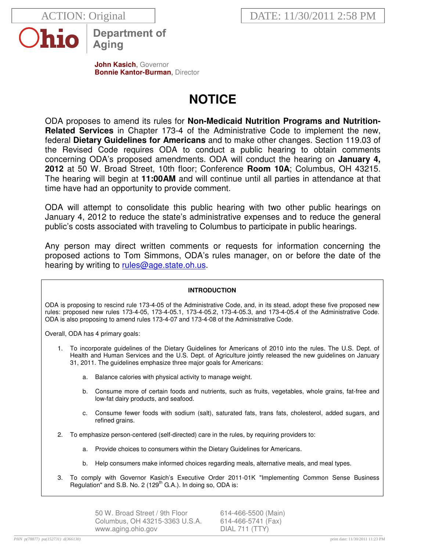

**Department of** Aging

**John Kasich**, Governor **Bonnie Kantor-Burman, Director** 

# **NOTICE**

ODA proposes to amend its rules for **Non-Medicaid Nutrition Programs and Nutrition-Related Services** in Chapter 173-4 of the Administrative Code to implement the new, federal **Dietary Guidelines for Americans** and to make other changes. Section 119.03 of the Revised Code requires ODA to conduct a public hearing to obtain comments concerning ODA's proposed amendments. ODA will conduct the hearing on **January 4, 2012** at 50 W. Broad Street, 10th floor; Conference **Room 10A**; Columbus, OH 43215. The hearing will begin at **11:00AM** and will continue until all parties in attendance at that time have had an opportunity to provide comment.

ODA will attempt to consolidate this public hearing with two other public hearings on January 4, 2012 to reduce the state's administrative expenses and to reduce the general public's costs associated with traveling to Columbus to participate in public hearings.

Any person may direct written comments or requests for information concerning the proposed actions to Tom Simmons, ODA's rules manager, on or before the date of the hearing by writing to rules@age.state.oh.us.

# **INTRODUCTION**

ODA is proposing to rescind rule 173-4-05 of the Administrative Code, and, in its stead, adopt these five proposed new rules: proposed new rules 173-4-05, 173-4-05.1, 173-4-05.2, 173-4-05.3, and 173-4-05.4 of the Administrative Code. ODA is also proposing to amend rules 173-4-07 and 173-4-08 of the Administrative Code.

Overall, ODA has 4 primary goals:

- 1. To incorporate guidelines of the Dietary Guidelines for Americans of 2010 into the rules. The U.S. Dept. of Health and Human Services and the U.S. Dept. of Agriculture jointly released the new guidelines on January 31, 2011. The guidelines emphasize three major goals for Americans:
	- a. Balance calories with physical activity to manage weight.
	- b. Consume more of certain foods and nutrients, such as fruits, vegetables, whole grains, fat-free and low-fat dairy products, and seafood.
	- c. Consume fewer foods with sodium (salt), saturated fats, trans fats, cholesterol, added sugars, and refined grains.
- 2. To emphasize person-centered (self-directed) care in the rules, by requiring providers to:
	- a. Provide choices to consumers within the Dietary Guidelines for Americans.
	- b. Help consumers make informed choices regarding meals, alternative meals, and meal types.
- 3. To comply with Governor Kasich's Executive Order 2011-01K "Implementing Common Sense Business Regulation" and S.B. No. 2 (129<sup>th</sup> G.A.). In doing so, ODA is:

50 W. Broad Street / 9th Floor 614-466-5500 (Main) Columbus, OH 43215-3363 U.S.A. 614-466-5741 (Fax) www.aging.ohio.gov DIAL 711 (TTY)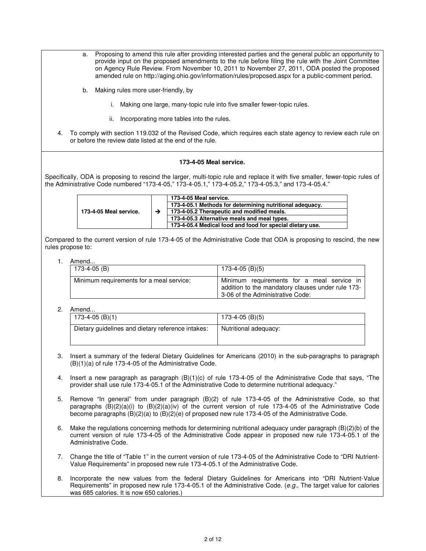- a. Proposing to amend this rule after providing interested parties and the general public an opportunity to provide input on the proposed amendments to the rule before filing the rule with the Joint Committee on Agency Rule Review. From November 10, 2011 to November 27, 2011, ODA posted the proposed amended rule on http://aging.ohio.gov/information/rules/proposed.aspx for a public-comment period.
- b. Making rules more user-friendly, by
	- i. Making one large, many-topic rule into five smaller fewer-topic rules.
	- ii. Incorporating more tables into the rules.
- 4. To comply with section 119.032 of the Revised Code, which requires each state agency to review each rule on or before the review date listed at the end of the rule.

#### **173-4-05 Meal service.**

Specifically, ODA is proposing to rescind the larger, multi-topic rule and replace it with five smaller, fewer-topic rules of the Administrative Code numbered "173-4-05," 173-4-05.1," 173-4-05.2," 173-4-05.3," and 173-4-05.4."

| 173-4-05 Meal service. |                                                           | 173-4-05 Meal service. |
|------------------------|-----------------------------------------------------------|------------------------|
|                        | 173-4-05.1 Methods for determining nutritional adequacy.  |                        |
|                        | 173-4-05.2 Therapeutic and modified meals.                |                        |
|                        | 173-4-05.3 Alternative meals and meal types.              |                        |
|                        | 173-4-05.4 Medical food and food for special dietary use. |                        |

Compared to the current version of rule 173-4-05 of the Administrative Code that ODA is proposing to rescind, the new rules propose to:

#### 1. Amend...

| 173-4-05 (B)                             | $173-4-05$ (B)(5)                                                                                                                   |
|------------------------------------------|-------------------------------------------------------------------------------------------------------------------------------------|
| Minimum requirements for a meal service: | Minimum requirements for a meal service in<br>addition to the mandatory clauses under rule 173-<br>3-06 of the Administrative Code: |

| .                                                 |                       |
|---------------------------------------------------|-----------------------|
| 173-4-05 (B)(1)                                   | 173-4-05 (B)(5)       |
| Dietary guidelines and dietary reference intakes: | Nutritional adequacy: |

- 3. Insert a summary of the federal Dietary Guidelines for Americans (2010) in the sub-paragraphs to paragraph (B)(1)(a) of rule 173-4-05 of the Administrative Code.
- 4. Insert a new paragraph as paragraph (B)(1)(c) of rule 173-4-05 of the Administrative Code that says, "The provider shall use rule 173-4-05.1 of the Administrative Code to determine nutritional adequacy."
- 5. Remove "In general" from under paragraph (B)(2) of rule 173-4-05 of the Administrative Code, so that paragraphs  $(B)(2)(a)(i)$  to  $(B)(2)(a)(iv)$  of the current version of rule 173-4-05 of the Administrative Code become paragraphs (B)(2)(a) to (B)(2)(e) of proposed new rule 173-4-05 of the Administrative Code.
- 6. Make the regulations concerning methods for determining nutritional adequacy under paragraph (B)(2)(b) of the current version of rule 173-4-05 of the Administrative Code appear in proposed new rule 173-4-05.1 of the Administrative Code.
- 7. Change the title of "Table 1" in the current version of rule 173-4-05 of the Administrative Code to "DRI Nutrient-Value Requirements" in proposed new rule 173-4-05.1 of the Administrative Code.
- 8. Incorporate the new values from the federal Dietary Guidelines for Americans into "DRI Nutrient-Value Requirements" in proposed new rule 173-4-05.1 of the Administrative Code. (e.g., The target value for calories was 685 calories. It is now 650 calories.)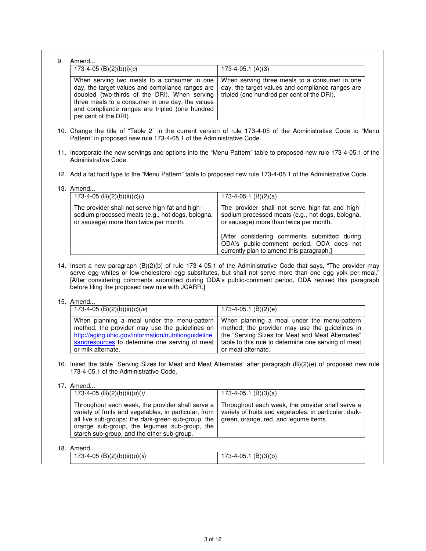|  | 173-4-05 (B)(2)(b)(i)(c)                                                                                                                                                                                                                                                                                                              | $173-4-05.1$ (A)(3)                                                                                                                                                                                                            |
|--|---------------------------------------------------------------------------------------------------------------------------------------------------------------------------------------------------------------------------------------------------------------------------------------------------------------------------------------|--------------------------------------------------------------------------------------------------------------------------------------------------------------------------------------------------------------------------------|
|  | When serving two meals to a consumer in one<br>day, the target values and compliance ranges are<br>doubled (two-thirds of the DRI). When serving<br>three meals to a consumer in one day, the values<br>and compliance ranges are tripled (one hundred<br>per cent of the DRI).                                                       | When serving three meals to a consumer in one<br>day, the target values and compliance ranges are<br>tripled (one hundred per cent of the DRI).                                                                                |
|  | 10. Change the title of "Table 2" in the current version of rule 173-4-05 of the Administrative Code to "Menu<br>Pattern" in proposed new rule 173-4-05.1 of the Administrative Code.                                                                                                                                                 |                                                                                                                                                                                                                                |
|  | 11. Incorporate the new servings and options into the "Menu Pattern" table to proposed new rule 173-4-05.1 of the<br>Administrative Code.                                                                                                                                                                                             |                                                                                                                                                                                                                                |
|  | 12. Add a fat food type to the "Menu Pattern" table to proposed new rule 173-4-05.1 of the Administrative Code.                                                                                                                                                                                                                       |                                                                                                                                                                                                                                |
|  | 13. Amend                                                                                                                                                                                                                                                                                                                             |                                                                                                                                                                                                                                |
|  | 173-4-05 (B)(2)(b)(ii)(c)(i)                                                                                                                                                                                                                                                                                                          | $173-4-05.1$ (B)(2)(a)                                                                                                                                                                                                         |
|  | The provider shall not serve high-fat and high-<br>sodium processed meats (e.g., hot dogs, bologna,<br>or sausage) more than twice per month.                                                                                                                                                                                         | The provider shall not serve high-fat and high-<br>sodium processed meats (e.g., hot dogs, bologna,<br>or sausage) more than twice per month.                                                                                  |
|  |                                                                                                                                                                                                                                                                                                                                       | [After considering comments submitted during<br>ODA's public-comment period, ODA does not<br>currently plan to amend this paragraph.]                                                                                          |
|  | 14. Insert a new paragraph (B)(2)(b) of rule 173-4-05.1 of the Administrative Code that says, "The provider may<br>serve egg whites or low-cholesterol egg substitutes, but shall not serve more than one egg yolk per meal."<br>[After considering comments submitted during ODA's public-comment period, ODA revised this paragraph |                                                                                                                                                                                                                                |
|  | before filing the proposed new rule with JCARR.]                                                                                                                                                                                                                                                                                      |                                                                                                                                                                                                                                |
|  | 15. Amend                                                                                                                                                                                                                                                                                                                             |                                                                                                                                                                                                                                |
|  | 173-4-05 (B)(2)(b)(ii)(c)(iv)                                                                                                                                                                                                                                                                                                         | $173-4-05.1$ (B)(2)(e)                                                                                                                                                                                                         |
|  | When planning a meal under the menu-pattern<br>method, the provider may use the guidelines on<br>http://aging.ohio.gov/information/nutritionguideline<br>sandresources to determine one serving of meat<br>or milk alternate.                                                                                                         | When planning a meal under the menu-pattern<br>method, the provider may use the guidelines in<br>the "Serving Sizes for Meat and Meat Alternates"<br>table to this rule to determine one serving of meat<br>or meat alternate. |
|  | 16. Insert the table "Serving Sizes for Meat and Meat Alternates" after paragraph (B)(2)(e) of proposed new rule<br>173-4-05.1 of the Administrative Code.                                                                                                                                                                            |                                                                                                                                                                                                                                |
|  | 17. Amend                                                                                                                                                                                                                                                                                                                             |                                                                                                                                                                                                                                |
|  | 173-4-05 (B)(2)(b)(ii)(d)(i)                                                                                                                                                                                                                                                                                                          | $173-4-05.1$ (B)(3)(a)                                                                                                                                                                                                         |

| - מ<br>о. | Amend                                                        |                                                |  |
|-----------|--------------------------------------------------------------|------------------------------------------------|--|
|           | $\overline{\phantom{a}}$<br>'73-4-05<br>(B)(2)(b)(ii)(d)(ii) | (B)(3)(b)<br>$\prime\prime$<br>$73 - 4 - 05.1$ |  |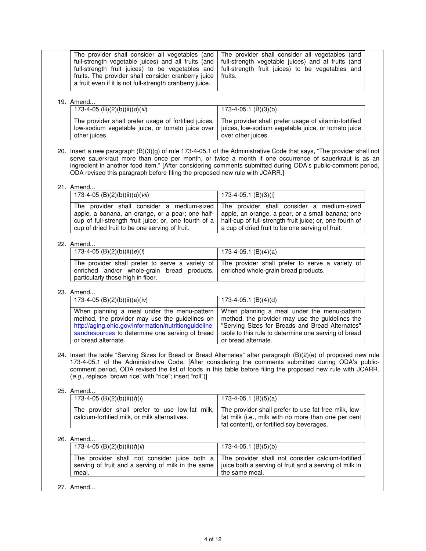|                                                                                                                           | The provider shall consider all vegetables (and   The provider shall consider all vegetables (and<br>full-strength vegetable juices) and all fruits (and   full-strength vegetable juices) and al fruits (and<br>full-strength fruit juices) to be vegetables and full-strength fruit juices) to be vegetables and |  |
|---------------------------------------------------------------------------------------------------------------------------|--------------------------------------------------------------------------------------------------------------------------------------------------------------------------------------------------------------------------------------------------------------------------------------------------------------------|--|
| fruits. The provider shall consider cranberry juice   fruits.<br>a fruit even if it is not full-strength cranberry juice. |                                                                                                                                                                                                                                                                                                                    |  |

# 19. Amend...

| 173-4-05 (B)(2)(b)(ii)(d)(iii)                                        | 173-4-05.1 (B)(3)(b)                                                                                                                                                                 |
|-----------------------------------------------------------------------|--------------------------------------------------------------------------------------------------------------------------------------------------------------------------------------|
| The provider shall prefer usage of fortified juices,<br>other juices. | The provider shall prefer usage of vitamin-fortified<br>low-sodium vegetable juice, or tomato juice over   juices, low-sodium vegetable juice, or tomato juice<br>over other juices. |

20. Insert a new paragraph (B)(3)(g) of rule 173-4-05.1 of the Administrative Code that says, "The provider shall not serve sauerkraut more than once per month, or twice a month if one occurrence of sauerkraut is as an ingredient in another food item." [After considering comments submitted during ODA's public-comment period, ODA revised this paragraph before filing the proposed new rule with JCARR.]

# 21. Amend...

| 173-4-05 (B)(2)(b)(ii)(d)(vii)                 | 173-4-05.1 (B)(3)(i)                                                                                                                                                                                                                                                                                                                                                 |
|------------------------------------------------|----------------------------------------------------------------------------------------------------------------------------------------------------------------------------------------------------------------------------------------------------------------------------------------------------------------------------------------------------------------------|
| cup of dried fruit to be one serving of fruit. | The provider shall consider a medium-sized The provider shall consider a medium-sized<br>apple, a banana, an orange, or a pear; one half-   apple, an orange, a pear, or a small banana; one<br>cup of full-strength fruit juice; or, one fourth of a   half-cup of full-strength fruit juice; or, one fourth of<br>a cup of dried fruit to be one serving of fruit. |

# 22. Amend...

| 173-4-05 (B)(2)(b)(ii)(e)(i)                                                                                          | 173-4-05.1 (B)(4)(a)                                                                            |
|-----------------------------------------------------------------------------------------------------------------------|-------------------------------------------------------------------------------------------------|
| enriched and/or whole-grain bread products, enriched whole-grain bread products.<br>particularly those high in fiber. | The provider shall prefer to serve a variety of The provider shall prefer to serve a variety of |

# 23. Amend...

| 173-4-05 (B)(2)(b)(ii)(e)(iv)                                                                                                                         | $173-4-05.1$ (B)(4)(d)                                                                                                                            |
|-------------------------------------------------------------------------------------------------------------------------------------------------------|---------------------------------------------------------------------------------------------------------------------------------------------------|
| When planning a meal under the menu-pattern<br>method, the provider may use the guidelines on<br>http://aging.ohio.gov/information/nutritionguideline | When planning a meal under the menu-pattern<br>method, the provider may use the guidelines the<br>"Serving Sizes for Breads and Bread Alternates" |
| sandresources to determine one serving of bread                                                                                                       | table to this rule to determine one serving of bread                                                                                              |
| or bread alternate.                                                                                                                                   | or bread alternate.                                                                                                                               |

24. Insert the table "Serving Sizes for Bread or Bread Alternates" after paragraph (B)(2)(e) of proposed new rule 173-4-05.1 of the Administrative Code. [After considering the comments submitted during ODA's publiccomment period, ODA revised the list of foods in this table before filing the proposed new rule with JCARR. (e.g., replace "brown rice" with "rice"; insert "roll")]

# 25. Amend...

| 173-4-05 (B)(2)(b)(ii)( $f$ )( $i$ )                                                            | 173-4-05.1 (B)(5)(a)                                                                                                                                     |
|-------------------------------------------------------------------------------------------------|----------------------------------------------------------------------------------------------------------------------------------------------------------|
| The provider shall prefer to use low-fat milk,<br>calcium-fortified milk, or milk alternatives. | The provider shall prefer to use fat-free milk, low-<br>fat milk (i.e., milk with no more than one per cent<br>fat content), or fortified soy beverages. |

# 26. Amend.

| 173-4-05 (B)(2)(b)(ii)( $f$ )(ii) | 173-4-05.1 (B)(5)(b)                                                                                                                                                                                                            |
|-----------------------------------|---------------------------------------------------------------------------------------------------------------------------------------------------------------------------------------------------------------------------------|
| meal.                             | The provider shall not consider juice both a The provider shall not consider calcium-fortified<br>serving of fruit and a serving of milk in the same   juice both a serving of fruit and a serving of milk in<br>the same meal. |
|                                   |                                                                                                                                                                                                                                 |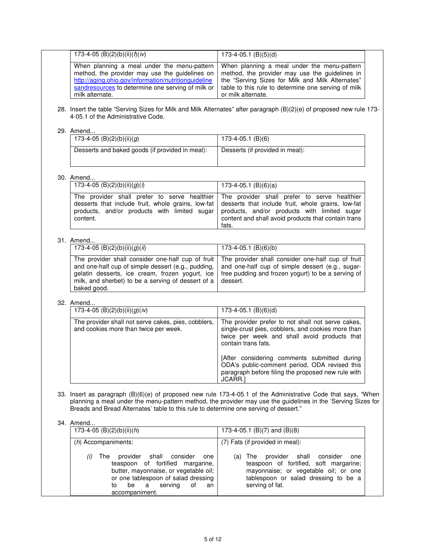| 173-4-05 (B)(2)(b)(ii)( $f$ )(iv)                                                                                                                                                                                                | $173-4-05.1$ (B)(5)(d)                                                                                                                                                                                                         |  |
|----------------------------------------------------------------------------------------------------------------------------------------------------------------------------------------------------------------------------------|--------------------------------------------------------------------------------------------------------------------------------------------------------------------------------------------------------------------------------|--|
| When planning a meal under the menu-pattern<br>method, the provider may use the guidelines on<br>http://aging.ohio.gov/information/nutritionguideline<br>sandresources to determine one serving of milk or<br>milk alternate.    | When planning a meal under the menu-pattern<br>method, the provider may use the guidelines in<br>the "Serving Sizes for Milk and Milk Alternates"<br>table to this rule to determine one serving of milk<br>or milk alternate. |  |
| 4-05.1 of the Administrative Code.                                                                                                                                                                                               | 28. Insert the table "Serving Sizes for Milk and Milk Alternates" after paragraph (B)(2)(e) of proposed new rule 173-                                                                                                          |  |
| 29. Amend<br>173-4-05 (B)(2)(b)(ii)(g)                                                                                                                                                                                           | 173-4-05.1 (B)(6)                                                                                                                                                                                                              |  |
| Desserts and baked goods (if provided in meal):                                                                                                                                                                                  | Desserts (if provided in meal):                                                                                                                                                                                                |  |
| 30. Amend                                                                                                                                                                                                                        |                                                                                                                                                                                                                                |  |
| 173-4-05 (B)(2)(b)(ii)(g)(l)                                                                                                                                                                                                     | $173-4-05.1$ (B)(6)(a)                                                                                                                                                                                                         |  |
| The provider shall prefer to serve healthier<br>desserts that include fruit, whole grains, low-fat<br>products, and/or products with limited sugar<br>content.                                                                   | The provider shall prefer to serve healthier<br>desserts that include fruit, whole grains, low-fat<br>products, and/or products with limited sugar<br>content and shall avoid products that contain trans<br>fats.             |  |
| 31. Amend                                                                                                                                                                                                                        |                                                                                                                                                                                                                                |  |
| 173-4-05 (B)(2)(b)(ii)(g)(ii)                                                                                                                                                                                                    | $173-4-05.1$ (B)(6)(b)                                                                                                                                                                                                         |  |
| The provider shall consider one-half cup of fruit<br>and one-half cup of simple dessert (e.g., pudding,<br>gelatin desserts, ice cream, frozen yogurt, ice<br>milk, and sherbet) to be a serving of dessert of a<br>baked good.  | The provider shall consider one-half cup of fruit<br>and one-half cup of simple dessert (e.g., sugar-<br>free pudding and frozen yogurt) to be a serving of<br>dessert.                                                        |  |
| 32. Amend                                                                                                                                                                                                                        |                                                                                                                                                                                                                                |  |
| 173-4-05 (B)(2)(b)(ii)(g)(iv)                                                                                                                                                                                                    | 173-4-05.1 (B)(6)(d)                                                                                                                                                                                                           |  |
| The provider shall not serve cakes, pies, cobblers,<br>and cookies more than twice per week.                                                                                                                                     | The provider prefer to not shall not serve cakes,<br>single-crust pies, cobblers, and cookies more than<br>twice per week and shall avoid products that<br>contain trans fats.                                                 |  |
|                                                                                                                                                                                                                                  | [After considering comments submitted during<br>ODA's public-comment period, ODA revised this<br>paragraph before filing the proposed new rule with<br>JCARR.]                                                                 |  |
| Breads and Bread Alternates' table to this rule to determine one serving of dessert."                                                                                                                                            | 33. Insert as paragraph (B)(6)(e) of proposed new rule 173-4-05.1 of the Administrative Code that says, "When<br>planning a meal under the menu-pattern method, the provider may use the guidelines in the 'Serving Sizes for  |  |
| 34. Amend                                                                                                                                                                                                                        |                                                                                                                                                                                                                                |  |
| 173-4-05 (B)(2)(b)(ii)(h)<br>$(h)$ Accompaniments:                                                                                                                                                                               | 173-4-05.1 (B)(7) and (B)(8)<br>(7) Fats (if provided in meal):                                                                                                                                                                |  |
| The<br>provider<br>(i)<br>shall<br>consider<br>one<br>teaspoon of fortified margarine,<br>butter, mayonnaise, or vegetable oil;<br>or one tablespoon of salad dressing<br>serving<br>be<br>a<br>οf<br>to<br>an<br>accompaniment. | $(a)$ The<br>shall<br>provider<br>consider<br>one<br>teaspoon of fortified, soft margarine;<br>mayonnaise; or vegetable oil; or one<br>tablespoon or salad dressing to be a<br>serving of fat.                                 |  |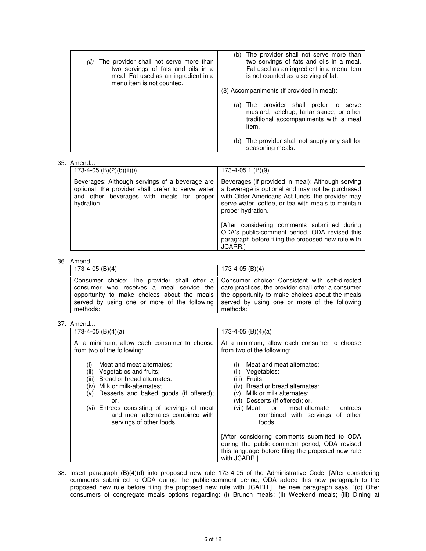| (ii) | The provider shall not serve more than<br>two servings of fats and oils in a<br>meal. Fat used as an ingredient in a |     | (b) The provider shall not serve more than<br>two servings of fats and oils in a meal.<br>Fat used as an ingredient in a menu item<br>is not counted as a serving of fat. |  |
|------|----------------------------------------------------------------------------------------------------------------------|-----|---------------------------------------------------------------------------------------------------------------------------------------------------------------------------|--|
|      | menu item is not counted.                                                                                            |     |                                                                                                                                                                           |  |
|      |                                                                                                                      |     | (8) Accompaniments (if provided in meal):                                                                                                                                 |  |
|      |                                                                                                                      |     | (a) The provider shall prefer to<br>serve<br>mustard, ketchup, tartar sauce, or other<br>traditional accompaniments with a meal<br>item.                                  |  |
|      |                                                                                                                      | (b) | The provider shall not supply any salt for<br>seasoning meals.                                                                                                            |  |

#### 35. Amend.

| 173-4-05 (B)(2)(b)(ii)( $i$ )                                                                                                                                      | $173-4-05.1$ (B)(9)                                                                                                                                                                                                                 |
|--------------------------------------------------------------------------------------------------------------------------------------------------------------------|-------------------------------------------------------------------------------------------------------------------------------------------------------------------------------------------------------------------------------------|
| Beverages: Although servings of a beverage are<br>optional, the provider shall prefer to serve water<br>and other beverages with meals for<br>proper<br>hydration. | Beverages (if provided in meal): Although serving<br>a beverage is optional and may not be purchased<br>with Older Americans Act funds, the provider may<br>serve water, coffee, or tea with meals to maintain<br>proper hydration. |
|                                                                                                                                                                    | [After considering comments submitted during<br>ODA's public-comment period, ODA revised this<br>paragraph before filing the proposed new rule with<br>JCARR.1                                                                      |

#### 36. Amend...

| 173-4-05 (B)(4) | 173-4-05 (B)(4)                                                                                                                                                                                                                                                                                                                                                                                      |
|-----------------|------------------------------------------------------------------------------------------------------------------------------------------------------------------------------------------------------------------------------------------------------------------------------------------------------------------------------------------------------------------------------------------------------|
| methods:        | Consumer choice: The provider shall offer a Consumer choice: Consistent with self-directed<br>consumer who receives a meal service the   care practices, the provider shall offer a consumer<br>opportunity to make choices about the meals the opportunity to make choices about the meals<br>served by using one or more of the following served by using one or more of the following<br>methods: |

# 37. Amend...

| $173-4-05$ (B)(4)(a)                                                                                                                                                                                                                                                                                               | $173-4-05$ (B)(4)(a)                                                                                                                                                                                                                                                                       |
|--------------------------------------------------------------------------------------------------------------------------------------------------------------------------------------------------------------------------------------------------------------------------------------------------------------------|--------------------------------------------------------------------------------------------------------------------------------------------------------------------------------------------------------------------------------------------------------------------------------------------|
| At a minimum, allow each consumer to choose<br>from two of the following:                                                                                                                                                                                                                                          | At a minimum, allow each consumer to choose<br>from two of the following:                                                                                                                                                                                                                  |
| Meat and meat alternates:<br>(i)<br>Vegetables and fruits;<br>(ii)<br>Bread or bread alternates:<br>(iii)<br>(iv) Milk or milk-alternates;<br>Desserts and baked goods (if offered);<br>(v)<br>or.<br>(vi) Entrees consisting of servings of meat<br>and meat alternates combined with<br>servings of other foods. | Meat and meat alternates:<br>$\mathbf{I}$<br>Vegetables:<br>(ii)<br>Fruits:<br>(iii)<br>(iv) Bread or bread alternates:<br>Milk or milk alternates;<br>(V) -<br>(vi) Desserts (if offered); or,<br>(vii) Meat<br>or meat-alternate<br>entrees<br>combined with servings of other<br>foods. |
|                                                                                                                                                                                                                                                                                                                    | [After considering comments submitted to ODA<br>during the public-comment period, ODA revised<br>this language before filing the proposed new rule<br>with JCARR.                                                                                                                          |

38. Insert paragraph (B)(4)(d) into proposed new rule 173-4-05 of the Administrative Code. [After considering comments submitted to ODA during the public-comment period, ODA added this new paragraph to the proposed new rule before filing the proposed new rule with JCARR.] The new paragraph says, "(d) Offer consumers of congregate meals options regarding: (i) Brunch meals; (ii) Weekend meals; (iii) Dining at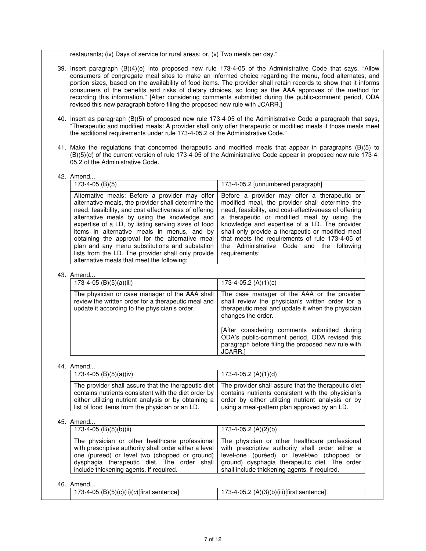restaurants; (iv) Days of service for rural areas; or, (v) Two meals per day."

- 39. Insert paragraph (B)(4)(e) into proposed new rule 173-4-05 of the Administrative Code that says, "Allow consumers of congregate meal sites to make an informed choice regarding the menu, food alternates, and portion sizes, based on the availability of food items. The provider shall retain records to show that it informs consumers of the benefits and risks of dietary choices, so long as the AAA approves of the method for recording this information." [After considering comments submitted during the public-comment period, ODA revised this new paragraph before filing the proposed new rule with JCARR.]
- 40. Insert as paragraph (B)(5) of proposed new rule 173-4-05 of the Administrative Code a paragraph that says, "Therapeutic and modified meals: A provider shall only offer therapeutic or modified meals if those meals meet the additional requirements under rule 173-4-05.2 of the Administrative Code."
- 41. Make the regulations that concerned therapeutic and modified meals that appear in paragraphs (B)(5) to (B)(5)(d) of the current version of rule 173-4-05 of the Administrative Code appear in proposed new rule 173-4- 05.2 of the Administrative Code.

#### 42. Amend.

| 173-4-05 (B)(5)                                                                                                                                                                                                                                                                                                                                                                                                                                                                                                               | 173-4-05.2 [unnumbered paragraph]                                                                                                                                                                                                                                                                                                                                                                                              |
|-------------------------------------------------------------------------------------------------------------------------------------------------------------------------------------------------------------------------------------------------------------------------------------------------------------------------------------------------------------------------------------------------------------------------------------------------------------------------------------------------------------------------------|--------------------------------------------------------------------------------------------------------------------------------------------------------------------------------------------------------------------------------------------------------------------------------------------------------------------------------------------------------------------------------------------------------------------------------|
| Alternative meals: Before a provider may offer<br>alternative meals, the provider shall determine the<br>need, feasibility, and cost effectiveness of offering<br>alternative meals by using the knowledge and<br>expertise of a LD, by listing serving sizes of food<br>items in alternative meals in menus, and by<br>obtaining the approval for the alternative meal<br>plan and any menu substitutions and substation<br>lists from the LD. The provider shall only provide<br>alternative meals that meet the following: | Before a provider may offer a therapeutic or<br>modified meal, the provider shall determine the<br>need, feasibility, and cost-effectiveness of offering<br>a therapeutic or modified meal by using the<br>knowledge and expertise of a LD. The provider<br>shall only provide a therapeutic or modified meal<br>that meets the requirements of rule 173-4-05 of<br>the Administrative Code and the following<br>requirements: |

#### 43. Amend...

| 173-4-05 (B)(5)(a)(iii)                                                                                                                                | 173-4-05.2 $(A)(1)(c)$                                                                                                                                                     |
|--------------------------------------------------------------------------------------------------------------------------------------------------------|----------------------------------------------------------------------------------------------------------------------------------------------------------------------------|
| The physician or case manager of the AAA shall<br>review the written order for a therapeutic meal and<br>update it according to the physician's order. | The case manager of the AAA or the provider<br>shall review the physician's written order for a<br>therapeutic meal and update it when the physician<br>changes the order. |
|                                                                                                                                                        | [After considering comments submitted during<br>ODA's public-comment period, ODA revised this<br>paragraph before filing the proposed new rule with<br><b>JCARR.</b>       |

# 44. Amend...

| 173-4-05 (B)(5)(a)(iv)                               | 173-4-05.2 (A)(1)(d)                                |
|------------------------------------------------------|-----------------------------------------------------|
| The provider shall assure that the therapeutic diet  | The provider shall assure that the therapeutic diet |
| contains nutrients consistent with the diet order by | contains nutrients consistent with the physician's  |
| either utilizing nutrient analysis or by obtaining a | order by either utilizing nutrient analysis or by   |
| list of food items from the physician or an LD.      | using a meal-pattern plan approved by an LD.        |

# 45. Amend.

| .                                                                                                                                                                                                                                                   |                                                                                                                                                                                                                                                     |
|-----------------------------------------------------------------------------------------------------------------------------------------------------------------------------------------------------------------------------------------------------|-----------------------------------------------------------------------------------------------------------------------------------------------------------------------------------------------------------------------------------------------------|
| $173-4-05$ (B)(5)(b)(ii)                                                                                                                                                                                                                            | 173-4-05.2 $(A)(2)(b)$                                                                                                                                                                                                                              |
| The physician or other healthcare professional<br>with prescriptive authority shall order either a level<br>one (pureed) or level two (chopped or ground)<br>dysphagia therapeutic diet. The order shall<br>include thickening agents, if required. | The physician or other healthcare professional<br>with prescriptive authority shall order either a<br>level-one (puréed) or level-two (chopped or<br>ground) dysphagia therapeutic diet. The order<br>shall include thickening agents, if required. |
| , A  1                                                                                                                                                                                                                                              |                                                                                                                                                                                                                                                     |

|  | $\sim$ $\sim$ $\sim$ $\sim$<br>(B)(5)(c)(ii)(c)[first sentence]<br>73-4-05 | .2 (A)(3)(b)(iii)[first sentence]<br>ے.05-4-73 |  |
|--|----------------------------------------------------------------------------|------------------------------------------------|--|
|--|----------------------------------------------------------------------------|------------------------------------------------|--|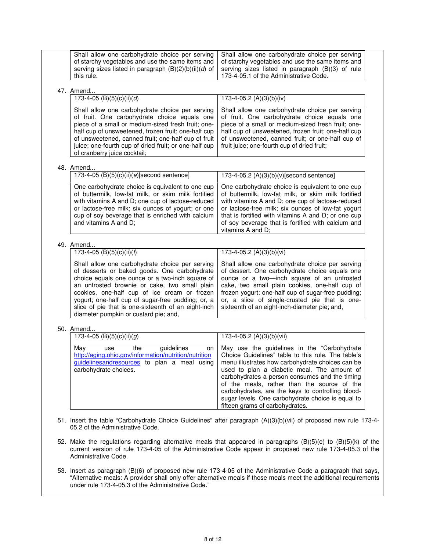| 47. Amend                                                                                                                                                                                                                                                                                                                                                                                                |                                                                                                                                                                                                                                                                                                                                                            |
|----------------------------------------------------------------------------------------------------------------------------------------------------------------------------------------------------------------------------------------------------------------------------------------------------------------------------------------------------------------------------------------------------------|------------------------------------------------------------------------------------------------------------------------------------------------------------------------------------------------------------------------------------------------------------------------------------------------------------------------------------------------------------|
| 173-4-05 (B)(5)(c)(ii)(d)                                                                                                                                                                                                                                                                                                                                                                                | 173-4-05.2 (A)(3)(b)(iv)                                                                                                                                                                                                                                                                                                                                   |
| Shall allow one carbohydrate choice per serving<br>of fruit. One carbohydrate choice equals one<br>piece of a small or medium-sized fresh fruit; one-<br>half cup of unsweetened, frozen fruit; one-half cup<br>of unsweetened, canned fruit; one-half cup of fruit<br>juice; one-fourth cup of dried fruit; or one-half cup<br>of cranberry juice cocktail;                                             | Shall allow one carbohydrate choice per serving<br>of fruit. One carbohydrate choice equals one<br>piece of a small or medium-sized fresh fruit; one-<br>half cup of unsweetened, frozen fruit; one-half cup<br>of unsweetened, canned fruit; or one-half cup of<br>fruit juice; one-fourth cup of dried fruit;                                            |
| 48. Amend                                                                                                                                                                                                                                                                                                                                                                                                |                                                                                                                                                                                                                                                                                                                                                            |
| 173-4-05 (B)(5)(c)(ii)(e)[second sentence]                                                                                                                                                                                                                                                                                                                                                               | 173-4-05.2 (A)(3)(b)(v)[second sentence]                                                                                                                                                                                                                                                                                                                   |
| One carbohydrate choice is equivalent to one cup<br>of buttermilk, low-fat milk, or skim milk fortified<br>with vitamins A and D; one cup of lactose-reduced<br>or lactose-free milk; six ounces of yogurt; or one<br>cup of soy beverage that is enriched with calcium<br>and vitamins A and D;                                                                                                         | One carbohydrate choice is equivalent to one cup<br>of buttermilk, low-fat milk, or skim milk fortified<br>with vitamins A and D; one cup of lactose-reduced<br>or lactose-free milk; six ounces of low-fat yogurt<br>that is fortified with vitamins A and D; or one cup<br>of soy beverage that is fortified with calcium and<br>vitamins A and D;       |
| 49. Amend                                                                                                                                                                                                                                                                                                                                                                                                |                                                                                                                                                                                                                                                                                                                                                            |
| 173-4-05 (B)(5)(c)(ii)( $f$ )                                                                                                                                                                                                                                                                                                                                                                            | 173-4-05.2 (A)(3)(b)(vi)                                                                                                                                                                                                                                                                                                                                   |
| Shall allow one carbohydrate choice per serving<br>of desserts or baked goods. One carbohydrate<br>choice equals one ounce or a two-inch square of<br>an unfrosted brownie or cake, two small plain<br>cookies, one-half cup of ice cream or frozen<br>yogurt; one-half cup of sugar-free pudding; or, a<br>slice of pie that is one-sixteenth of an eight-inch<br>diameter pumpkin or custard pie; and, | Shall allow one carbohydrate choice per serving<br>of dessert. One carbohydrate choice equals one<br>ounce or a two-inch square of an unfrosted<br>cake, two small plain cookies, one-half cup of<br>frozen yogurt; one-half cup of sugar-free pudding;<br>or, a slice of single-crusted pie that is one-<br>sixteenth of an eight-inch-diameter pie; and, |
| 50. Amend                                                                                                                                                                                                                                                                                                                                                                                                |                                                                                                                                                                                                                                                                                                                                                            |
| 173-4-05 (B)(5)(c)(ii)(g)                                                                                                                                                                                                                                                                                                                                                                                | 173-4-05.2 (A)(3)(b)(vii)                                                                                                                                                                                                                                                                                                                                  |
| guidelines<br>May<br>the<br>use<br>on<br>http://aging.ohio.gov/information/nutrition/nutrition                                                                                                                                                                                                                                                                                                           | May use the guidelines in the "Carbohydrate<br>Choice Guidelines" table to this rule. The table's<br>menu illustrates how carbohydrate choices can be                                                                                                                                                                                                      |

53. Insert as paragraph (B)(6) of proposed new rule 173-4-05 of the Administrative Code a paragraph that says, "Alternative meals: A provider shall only offer alternative meals if those meals meet the additional requirements under rule 173-4-05.3 of the Administrative Code."

Administrative Code.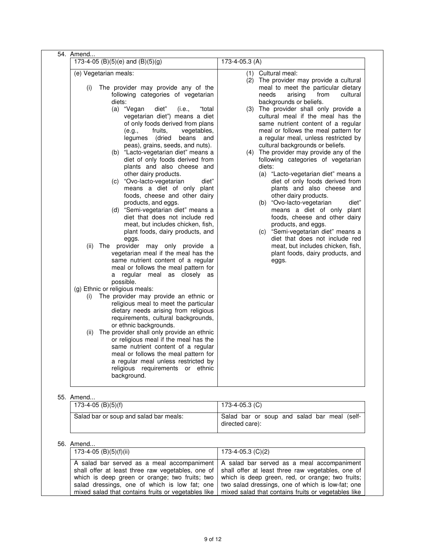| (e) Vegetarian meals:<br>The provider may provide any of the<br>(i)<br>following categories of vegetarian<br>diets:<br>(a) "Vegan<br>diet"<br>(i.e.,<br>"total<br>vegetarian diet") means a diet<br>of only foods derived from plans<br>fruits,<br>(e.g.,<br>vegetables,<br>(dried<br>legumes<br>beans<br>and<br>peas), grains, seeds, and nuts).<br>(b) "Lacto-vegetarian diet" means a<br>diet of only foods derived from<br>plants and also cheese and<br>other dairy products.<br>(c) "Ovo-lacto-vegetarian<br>diet"<br>means a diet of only plant<br>foods, cheese and other dairy<br>products, and eggs.<br>(d) "Semi-vegetarian diet" means a<br>diet that does not include red<br>meat, but includes chicken, fish,<br>plant foods, dairy products, and<br>eggs.<br>(ii)<br>The provider may only provide a<br>vegetarian meal if the meal has the<br>same nutrient content of a regular<br>meal or follows the meal pattern for<br>a regular meal as closely as<br>possible.<br>(g) Ethnic or religious meals:<br>The provider may provide an ethnic or<br>(i)<br>religious meal to meet the particular<br>dietary needs arising from religious<br>requirements, cultural backgrounds,<br>or ethnic backgrounds.<br>(ii) The provider shall only provide an ethnic<br>or religious meal if the meal has the<br>same nutrient content of a regular<br>meal or follows the meal pattern for<br>a regular meal unless restricted by<br>religious requirements or ethnic<br>background. |
|----------------------------------------------------------------------------------------------------------------------------------------------------------------------------------------------------------------------------------------------------------------------------------------------------------------------------------------------------------------------------------------------------------------------------------------------------------------------------------------------------------------------------------------------------------------------------------------------------------------------------------------------------------------------------------------------------------------------------------------------------------------------------------------------------------------------------------------------------------------------------------------------------------------------------------------------------------------------------------------------------------------------------------------------------------------------------------------------------------------------------------------------------------------------------------------------------------------------------------------------------------------------------------------------------------------------------------------------------------------------------------------------------------------------------------------------------------------------------------------------|

# 55. Amend.

| ,,,,,,,,,,,,<br>173-4-05 (B)(5)(f)     | 173-4-05.3 (C)                                                 |
|----------------------------------------|----------------------------------------------------------------|
| Salad bar or soup and salad bar meals: | Salad bar or soup and salad bar meal (self-<br>directed care): |

| 173-4-05 (B)(5)(f)(ii) | 173-4-05.3 (C)(2)                                                                                                                                                                                                                                                                                                                                                                                      |
|------------------------|--------------------------------------------------------------------------------------------------------------------------------------------------------------------------------------------------------------------------------------------------------------------------------------------------------------------------------------------------------------------------------------------------------|
|                        | A salad bar served as a meal accompaniment   A salad bar served as a meal accompaniment<br>shall offer at least three raw vegetables, one of shall offer at least three raw vegetables, one of<br>which is deep green or orange; two fruits; two which is deep green, red, or orange; two fruits;<br>salad dressings, one of which is low fat; one I two salad dressings, one of which is low-fat; one |
|                        | mixed salad that contains fruits or vegetables like   mixed salad that contains fruits or vegetables like                                                                                                                                                                                                                                                                                              |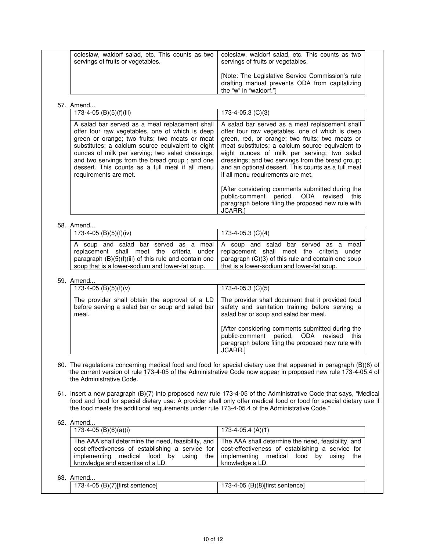| coleslaw, waldorf salad, etc. This counts as two<br>servings of fruits or vegetables.                                                                                                                                                                                                                                                                                                      | coleslaw, waldorf salad, etc. This counts as two<br>servings of fruits or vegetables.                                                                                                                                                                                                                                                                                                                    |  |
|--------------------------------------------------------------------------------------------------------------------------------------------------------------------------------------------------------------------------------------------------------------------------------------------------------------------------------------------------------------------------------------------|----------------------------------------------------------------------------------------------------------------------------------------------------------------------------------------------------------------------------------------------------------------------------------------------------------------------------------------------------------------------------------------------------------|--|
|                                                                                                                                                                                                                                                                                                                                                                                            | [Note: The Legislative Service Commission's rule<br>drafting manual prevents ODA from capitalizing<br>the "w" in "waldorf."]                                                                                                                                                                                                                                                                             |  |
| 57. Amend                                                                                                                                                                                                                                                                                                                                                                                  |                                                                                                                                                                                                                                                                                                                                                                                                          |  |
| 173-4-05 (B)(5)(f)(iii)                                                                                                                                                                                                                                                                                                                                                                    | 173-4-05.3 (C)(3)                                                                                                                                                                                                                                                                                                                                                                                        |  |
| A salad bar served as a meal replacement shall<br>offer four raw vegetables, one of which is deep<br>green or orange; two fruits; two meats or meat<br>substitutes; a calcium source equivalent to eight<br>ounces of milk per serving; two salad dressings;<br>and two servings from the bread group; and one<br>dessert. This counts as a full meal if all menu<br>requirements are met. | A salad bar served as a meal replacement shall<br>offer four raw vegetables, one of which is deep<br>green, red, or orange; two fruits; two meats or<br>meat substitutes; a calcium source equivalent to<br>eight ounces of milk per serving; two salad<br>dressings; and two servings from the bread group;<br>and an optional dessert. This counts as a full meal<br>if all menu requirements are met. |  |
|                                                                                                                                                                                                                                                                                                                                                                                            | [After considering comments submitted during the<br>public-comment period, ODA revised<br>this<br>paragraph before filing the proposed new rule with<br>JCARR.1                                                                                                                                                                                                                                          |  |
| 58. Amend                                                                                                                                                                                                                                                                                                                                                                                  |                                                                                                                                                                                                                                                                                                                                                                                                          |  |
| 173-4-05 (B)(5)(f)(iv)                                                                                                                                                                                                                                                                                                                                                                     | 173-4-05.3 (C)(4)                                                                                                                                                                                                                                                                                                                                                                                        |  |
| A soup and salad bar served as a meal<br>replacement shall meet the criteria under<br>paragraph (B)(5)(f)(iii) of this rule and contain one<br>soup that is a lower-sodium and lower-fat soup.                                                                                                                                                                                             | A soup and salad bar served as a meal<br>replacement shall meet the criteria under<br>paragraph (C)(3) of this rule and contain one soup<br>that is a lower-sodium and lower-fat soup.                                                                                                                                                                                                                   |  |
| 59. Amend                                                                                                                                                                                                                                                                                                                                                                                  |                                                                                                                                                                                                                                                                                                                                                                                                          |  |
| 173-4-05 $(B)(5)(f)(v)$                                                                                                                                                                                                                                                                                                                                                                    | 173-4-05.3 (C)(5)                                                                                                                                                                                                                                                                                                                                                                                        |  |
| The provider shall obtain the approval of a LD<br>before serving a salad bar or soup and salad bar<br>meal.                                                                                                                                                                                                                                                                                | The provider shall document that it provided food<br>safety and sanitation training before serving a<br>salad bar or soup and salad bar meal.                                                                                                                                                                                                                                                            |  |
|                                                                                                                                                                                                                                                                                                                                                                                            | [After considering comments submitted during the<br>public-comment period, ODA revised this<br>paragraph before filing the proposed new rule with<br>JCARR.]                                                                                                                                                                                                                                             |  |
| the Administrative Code.                                                                                                                                                                                                                                                                                                                                                                   | 60. The regulations concerning medical food and food for special dietary use that appeared in paragraph (B)(6) of<br>the current version of rule 173-4-05 of the Administrative Code now appear in proposed new rule 173-4-05.4 of                                                                                                                                                                       |  |
| the food meets the additional requirements under rule 173-4-05.4 of the Administrative Code."                                                                                                                                                                                                                                                                                              | 61. Insert a new paragraph (B)(7) into proposed new rule 173-4-05 of the Administrative Code that says, "Medical<br>food and food for special dietary use: A provider shall only offer medical food or food for special dietary use if                                                                                                                                                                   |  |
| 62. Amend<br>$173-4-05$ (B)(6)(a)(i)                                                                                                                                                                                                                                                                                                                                                       | $173-4-05.4(A)(1)$                                                                                                                                                                                                                                                                                                                                                                                       |  |
|                                                                                                                                                                                                                                                                                                                                                                                            |                                                                                                                                                                                                                                                                                                                                                                                                          |  |
| The AAA shall determine the need, feasibility, and<br>cost-effectiveness of establishing a service for<br>implementing medical food by using<br>the<br>knowledge and expertise of a LD.                                                                                                                                                                                                    | The AAA shall determine the need, feasibility, and<br>cost-effectiveness of establishing a service for<br>implementing medical food<br>by<br>using<br>the<br>knowledge a LD.                                                                                                                                                                                                                             |  |
|                                                                                                                                                                                                                                                                                                                                                                                            |                                                                                                                                                                                                                                                                                                                                                                                                          |  |
| 63. Amend<br>173-4-05 (B)(7)[first sentence]                                                                                                                                                                                                                                                                                                                                               | 173-4-05 (B)(8)[first sentence]                                                                                                                                                                                                                                                                                                                                                                          |  |
|                                                                                                                                                                                                                                                                                                                                                                                            |                                                                                                                                                                                                                                                                                                                                                                                                          |  |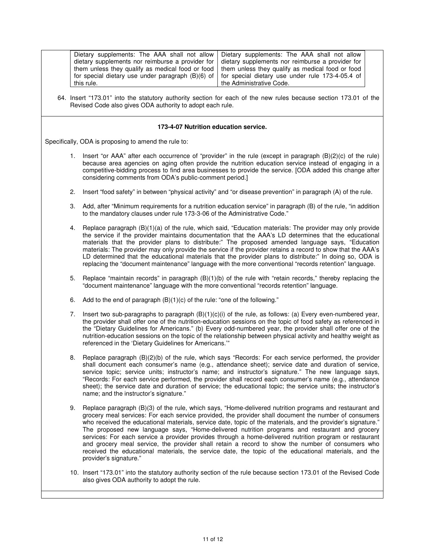|                                                      | Dietary supplements: The AAA shall not allow<br>Dietary supplements: The AAA shall not allow<br>dietary supplements nor reimburse a provider for<br>dietary supplements nor reimburse a provider for<br>them unless they qualify as medical food or food<br>them unless they qualify as medical food or food<br>for special dietary use under rule 173-4-05.4 of<br>for special dietary use under paragraph (B)(6) of<br>the Administrative Code.<br>this rule.<br>64. Insert "173.01" into the statutory authority section for each of the new rules because section 173.01 of the<br>Revised Code also gives ODA authority to adopt each rule.                                                                                                                                    |  |  |  |  |
|------------------------------------------------------|-------------------------------------------------------------------------------------------------------------------------------------------------------------------------------------------------------------------------------------------------------------------------------------------------------------------------------------------------------------------------------------------------------------------------------------------------------------------------------------------------------------------------------------------------------------------------------------------------------------------------------------------------------------------------------------------------------------------------------------------------------------------------------------|--|--|--|--|
| 173-4-07 Nutrition education service.                |                                                                                                                                                                                                                                                                                                                                                                                                                                                                                                                                                                                                                                                                                                                                                                                     |  |  |  |  |
| Specifically, ODA is proposing to amend the rule to: |                                                                                                                                                                                                                                                                                                                                                                                                                                                                                                                                                                                                                                                                                                                                                                                     |  |  |  |  |
|                                                      | 1. Insert "or AAA" after each occurrence of "provider" in the rule (except in paragraph (B)(2)(c) of the rule)<br>because area agencies on aging often provide the nutrition education service instead of engaging in a<br>competitive-bidding process to find area businesses to provide the service. [ODA added this change after<br>considering comments from ODA's public-comment period.]                                                                                                                                                                                                                                                                                                                                                                                      |  |  |  |  |
| 2.                                                   | Insert "food safety" in between "physical activity" and "or disease prevention" in paragraph (A) of the rule.                                                                                                                                                                                                                                                                                                                                                                                                                                                                                                                                                                                                                                                                       |  |  |  |  |
| 3.                                                   | Add, after "Minimum requirements for a nutrition education service" in paragraph (B) of the rule, "in addition<br>to the mandatory clauses under rule 173-3-06 of the Administrative Code."                                                                                                                                                                                                                                                                                                                                                                                                                                                                                                                                                                                         |  |  |  |  |
| 4.                                                   | Replace paragraph (B)(1)(a) of the rule, which said, "Education materials: The provider may only provide<br>the service if the provider maintains documentation that the AAA's LD determines that the educational<br>materials that the provider plans to distribute." The proposed amended language says, "Education<br>materials: The provider may only provide the service if the provider retains a record to show that the AAA's<br>LD determined that the educational materials that the provider plans to distribute:" In doing so, ODA is<br>replacing the "document maintenance" language with the more conventional "records retention" language.                                                                                                                         |  |  |  |  |
| 5.                                                   | Replace "maintain records" in paragraph $(B)(1)(b)$ of the rule with "retain records," thereby replacing the<br>"document maintenance" language with the more conventional "records retention" language.                                                                                                                                                                                                                                                                                                                                                                                                                                                                                                                                                                            |  |  |  |  |
| 6.                                                   | Add to the end of paragraph $(B)(1)(c)$ of the rule: "one of the following."                                                                                                                                                                                                                                                                                                                                                                                                                                                                                                                                                                                                                                                                                                        |  |  |  |  |
| 7.                                                   | Insert two sub-paragraphs to paragraph $(B)(1)(c)(i)$ of the rule, as follows: (a) Every even-numbered year,<br>the provider shall offer one of the nutrition-education sessions on the topic of food safety as referenced in<br>the "Dietary Guidelines for Americans." (b) Every odd-numbered year, the provider shall offer one of the<br>nutrition-education sessions on the topic of the relationship between physical activity and healthy weight as<br>referenced in the 'Dietary Guidelines for Americans.""                                                                                                                                                                                                                                                                |  |  |  |  |
|                                                      | Replace paragraph (B)(2)(b) of the rule, which says "Records: For each service performed, the provider<br>shall document each consumer's name (e.g., attendance sheet); service date and duration of service,<br>service topic; service units; instructor's name; and instructor's signature." The new language says,<br>"Records: For each service performed, the provider shall record each consumer's name (e.g., attendance<br>sheet); the service date and duration of service; the educational topic; the service units; the instructor's<br>name; and the instructor's signature."                                                                                                                                                                                           |  |  |  |  |
| 9.                                                   | Replace paragraph (B)(3) of the rule, which says, "Home-delivered nutrition programs and restaurant and<br>grocery meal services: For each service provided, the provider shall document the number of consumers<br>who received the educational materials, service date, topic of the materials, and the provider's signature."<br>The proposed new language says, "Home-delivered nutrition programs and restaurant and grocery<br>services: For each service a provider provides through a home-delivered nutrition program or restaurant<br>and grocery meal service, the provider shall retain a record to show the number of consumers who<br>received the educational materials, the service date, the topic of the educational materials, and the<br>provider's signature." |  |  |  |  |
|                                                      |                                                                                                                                                                                                                                                                                                                                                                                                                                                                                                                                                                                                                                                                                                                                                                                     |  |  |  |  |

10. Insert "173.01" into the statutory authority section of the rule because section 173.01 of the Revised Code also gives ODA authority to adopt the rule.